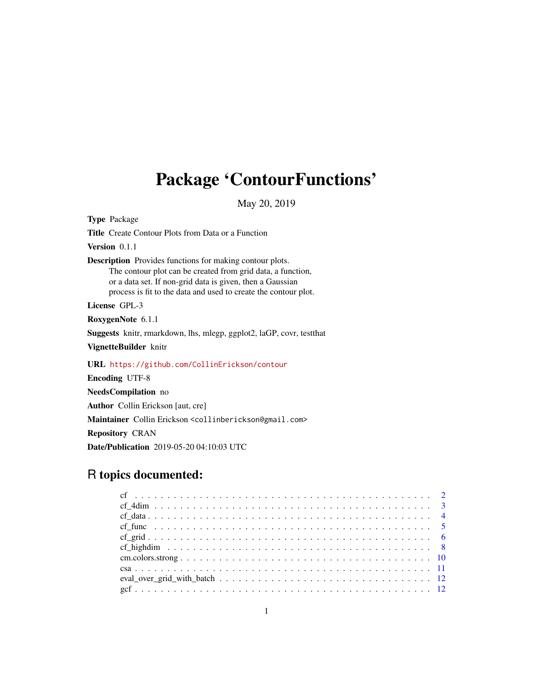# Package 'ContourFunctions'

May 20, 2019

Type Package Title Create Contour Plots from Data or a Function Version 0.1.1 Description Provides functions for making contour plots. The contour plot can be created from grid data, a function, or a data set. If non-grid data is given, then a Gaussian process is fit to the data and used to create the contour plot. License GPL-3 RoxygenNote 6.1.1 Suggests knitr, rmarkdown, lhs, mlegp, ggplot2, laGP, covr, testthat VignetteBuilder knitr URL <https://github.com/CollinErickson/contour> Encoding UTF-8 NeedsCompilation no Author Collin Erickson [aut, cre] Maintainer Collin Erickson <collinberickson@gmail.com> Repository CRAN

Date/Publication 2019-05-20 04:10:03 UTC

# R topics documented: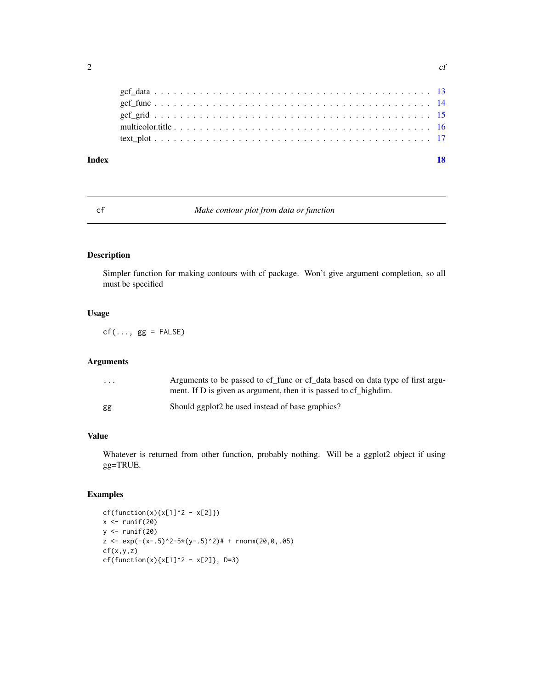<span id="page-1-0"></span>

| Index | 18 |
|-------|----|
|       |    |
|       |    |
|       |    |
|       |    |
|       |    |
|       |    |

# cf *Make contour plot from data or function*

#### Description

Simpler function for making contours with cf package. Won't give argument completion, so all must be specified

# Usage

 $cf(..., gg = FALSE)$ 

# Arguments

| $\cdots$ | Arguments to be passed to cf_func or cf_data based on data type of first argu-<br>ment. If D is given as argument, then it is passed to cf highdim. |
|----------|-----------------------------------------------------------------------------------------------------------------------------------------------------|
| gg       | Should ggplot <sub>2</sub> be used instead of base graphics?                                                                                        |

#### Value

Whatever is returned from other function, probably nothing. Will be a ggplot2 object if using gg=TRUE.

```
cf(function(x){x[1]<sup>2</sup> - x[2]})
x \leftarrow runif(20)y <- runif(20)
z \leq \exp(-(x-.5)^2-5*(y-.5)^2)# + rnorm(20,0,.05)
cf(x,y,z)cf(function(x){x[1]^2 - x[2]}, D=3)
```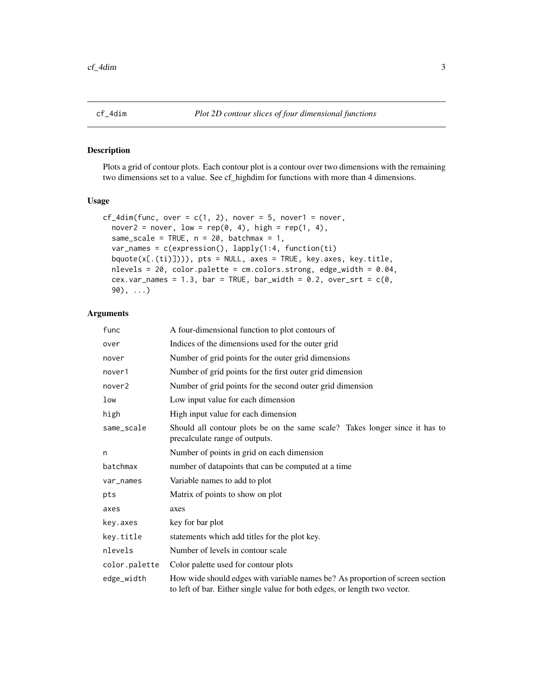<span id="page-2-0"></span>

#### Description

Plots a grid of contour plots. Each contour plot is a contour over two dimensions with the remaining two dimensions set to a value. See cf\_highdim for functions with more than 4 dimensions.

#### Usage

```
cf\_4dim(func, over = c(1, 2), power = 5, nover1 = nover,nover2 = nover, low = rep(0, 4), high = rep(1, 4),
  same_scale = TRUE, n = 20, batchmax = 1,
  var_names = c(expression(), lapply(1:4, function(ti)
 bquote(x[.(ti)]))), pts = NULL, axes = TRUE, key.axes, key.title,
 nlevels = 20, color.palette = cm.colors.strong, edge_width = 0.04,
  cex.var_names = 1.3, bar = TRUE, bar_width = 0.2, over_srt = c(0,90), \ldots)
```

| func          | A four-dimensional function to plot contours of                                                                                                            |
|---------------|------------------------------------------------------------------------------------------------------------------------------------------------------------|
| over          | Indices of the dimensions used for the outer grid                                                                                                          |
| nover         | Number of grid points for the outer grid dimensions                                                                                                        |
| nover1        | Number of grid points for the first outer grid dimension                                                                                                   |
| nover2        | Number of grid points for the second outer grid dimension                                                                                                  |
| low           | Low input value for each dimension                                                                                                                         |
| high          | High input value for each dimension                                                                                                                        |
| same_scale    | Should all contour plots be on the same scale? Takes longer since it has to<br>precalculate range of outputs.                                              |
| n             | Number of points in grid on each dimension                                                                                                                 |
| batchmax      | number of datapoints that can be computed at a time                                                                                                        |
| var_names     | Variable names to add to plot                                                                                                                              |
| pts           | Matrix of points to show on plot                                                                                                                           |
| axes          | axes                                                                                                                                                       |
| key.axes      | key for bar plot                                                                                                                                           |
| key.title     | statements which add titles for the plot key.                                                                                                              |
| nlevels       | Number of levels in contour scale                                                                                                                          |
| color.palette | Color palette used for contour plots                                                                                                                       |
| edge_width    | How wide should edges with variable names be? As proportion of screen section<br>to left of bar. Either single value for both edges, or length two vector. |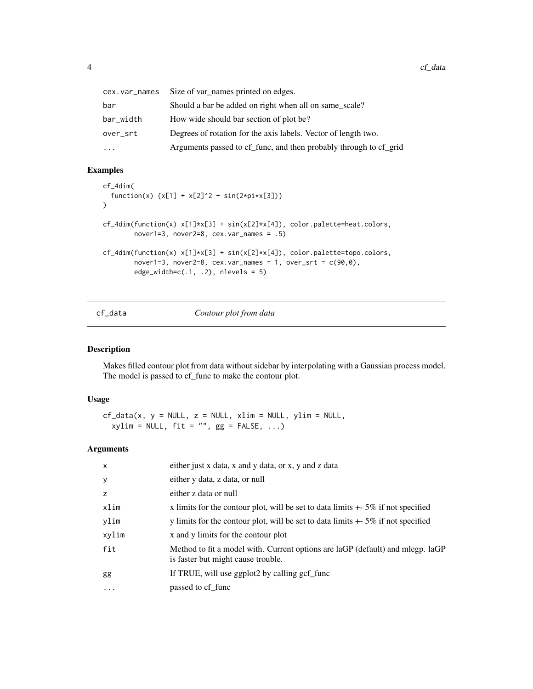<span id="page-3-0"></span>

| cex.var_names | Size of var_names printed on edges.                               |
|---------------|-------------------------------------------------------------------|
| bar           | Should a bar be added on right when all on same_scale?            |
| bar_width     | How wide should bar section of plot be?                           |
| over_srt      | Degrees of rotation for the axis labels. Vector of length two.    |
| .             | Arguments passed to cf_func, and then probably through to cf_grid |

```
cf_4dim(
  function(x) {x[1] + x[2]^2 + sin(2*pi*x[3])}\lambdacf_4dim(function(x) x[1]*x[3] + sin(x[2]*x[4]), color.palette=heat.colors,
        nover1=3, nover2=8, cex.var_names = .5)
cf_4dim(function(x) x[1]*x[3] + sin(x[2]*x[4]), color.palette=topo.colors,
        nover1=3, nover2=8, cex.var_names = 1, over\_srt = c(90, 0),
        edge\_width=c(.1, .2), nlevels = 5)
```
# cf\_data *Contour plot from data*

# Description

Makes filled contour plot from data without sidebar by interpolating with a Gaussian process model. The model is passed to cf\_func to make the contour plot.

#### Usage

```
cf\_data(x, y = NULL, z = NULL, xlim = NULL, ylim = NULL,xylim = NULL, fit = "", gg = FALSE, ...)
```

| $\mathsf{x}$ | either just x data, x and y data, or x, y and z data                                                                 |
|--------------|----------------------------------------------------------------------------------------------------------------------|
| y            | either y data, z data, or null                                                                                       |
| z            | either z data or null                                                                                                |
| xlim         | x limits for the contour plot, will be set to data limits $+$ 5% if not specified                                    |
| ylim         | y limits for the contour plot, will be set to data limits $+5\%$ if not specified                                    |
| xylim        | x and y limits for the contour plot                                                                                  |
| fit          | Method to fit a model with. Current options are laGP (default) and mlegp. laGP<br>is faster but might cause trouble. |
| gg           | If TRUE, will use ggplot2 by calling gcf_func                                                                        |
| $\cdots$     | passed to cf func                                                                                                    |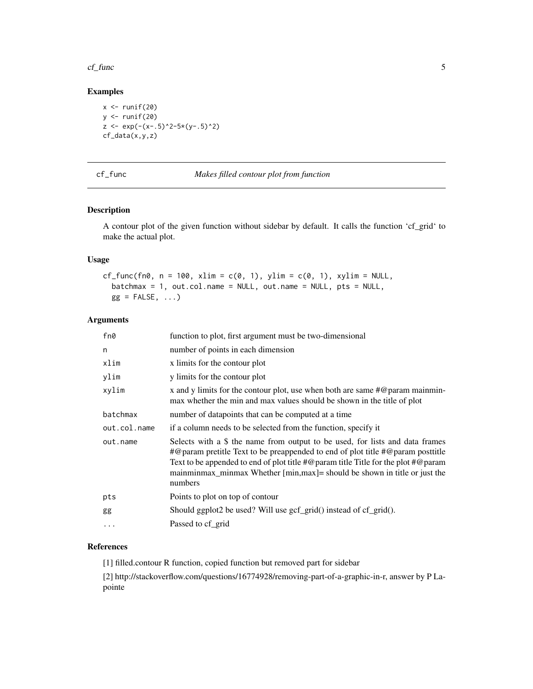#### <span id="page-4-0"></span> $cf\_func$  5

# Examples

```
x \leftarrow runif(20)y <- runif(20)
z \leftarrow \exp(-(x-.5)^2-5*(y-.5)^2)cf_data(x,y,z)
```

```
cf_func Makes filled contour plot from function
```
# Description

A contour plot of the given function without sidebar by default. It calls the function 'cf\_grid' to make the actual plot.

#### Usage

```
cf\_func(fn0, n = 100, xlim = c(0, 1), ylim = c(0, 1), xylim = NULL,batchmax = 1, out.col.name = NULL, out.name = NULL, pts = NULL,
 gg = FALSE, \dots)
```
#### Arguments

| fn0          | function to plot, first argument must be two-dimensional                                                                                                                                                                                                                                                                                                                        |
|--------------|---------------------------------------------------------------------------------------------------------------------------------------------------------------------------------------------------------------------------------------------------------------------------------------------------------------------------------------------------------------------------------|
| n            | number of points in each dimension                                                                                                                                                                                                                                                                                                                                              |
| xlim         | x limits for the contour plot                                                                                                                                                                                                                                                                                                                                                   |
| ylim         | y limits for the contour plot                                                                                                                                                                                                                                                                                                                                                   |
| xylim        | x and y limits for the contour plot, use when both are same $\#\textcircled{}$ param mainmin-<br>max whether the min and max values should be shown in the title of plot                                                                                                                                                                                                        |
| batchmax     | number of datapoints that can be computed at a time                                                                                                                                                                                                                                                                                                                             |
| out.col.name | if a column needs to be selected from the function, specify it                                                                                                                                                                                                                                                                                                                  |
| out.name     | Selects with a \$ the name from output to be used, for lists and data frames<br>$\#$ @param pretitle Text to be preappended to end of plot title $\#$ @param posttitle<br>Text to be appended to end of plot title $\#\mathcal{Q}$ param title Title for the plot $\#\mathcal{Q}$ param<br>mainminmax_minmax Whether [min,max]= should be shown in title or just the<br>numbers |
| pts          | Points to plot on top of contour                                                                                                                                                                                                                                                                                                                                                |
| gg           | Should ggplot2 be used? Will use gcf_grid() instead of cf_grid().                                                                                                                                                                                                                                                                                                               |
| .            | Passed to cf_grid                                                                                                                                                                                                                                                                                                                                                               |
|              |                                                                                                                                                                                                                                                                                                                                                                                 |

# References

[1] filled.contour R function, copied function but removed part for sidebar

[2] http://stackoverflow.com/questions/16774928/removing-part-of-a-graphic-in-r, answer by P Lapointe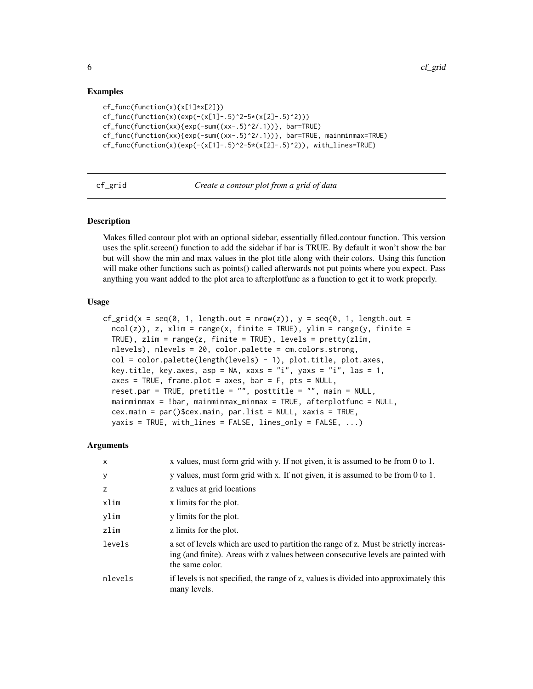```
cf_func(function(x){x[1]*x[2]})
cf_func(function(x)(exp(-(x[1]-.5)^2-5*(x[2]-.5)^2)))
cf_func(function(xx){exp(-sum((xx-.5)^2/.1))}, bar=TRUE)
cf_func(function(xx){exp(-sum((xx-.5)^2/.1))}, bar=TRUE, mainminmax=TRUE)
cf_func(function(x)(exp(-(x[1]-.5)^2-5*(x[2]-.5)^2)), with_lines=TRUE)
```
cf\_grid *Create a contour plot from a grid of data*

#### **Description**

Makes filled contour plot with an optional sidebar, essentially filled.contour function. This version uses the split.screen() function to add the sidebar if bar is TRUE. By default it won't show the bar but will show the min and max values in the plot title along with their colors. Using this function will make other functions such as points() called afterwards not put points where you expect. Pass anything you want added to the plot area to afterplotfunc as a function to get it to work properly.

# Usage

```
cf_grid(x = seq(0, 1, length.out = nrow(z)), y = \text{seq}(0, 1, \text{ length.out } =ncol(z), z, xlim = range(x, finite = TRUE), ylim = range(y, finite =
  TRUE), zlim = range(z, finite = TRUE), levels = pretty(zlim,
  nlevels), nlevels = 20, color.palette = cm.colors.strong,
  col = color.path(length(levels) - 1), plot.title, plot.axes,
  key.title, key.axes, asp = NA, xaxs = "i", yaxs = "i", las = 1,
  axes = TRUE, frame.plot = axes, bar = F, pts = NULL,
  reset.par = TRUE, pretitle = "", posttitle = "", main = NULL,
  mainminmax = !bar, mainminmax_minmax = TRUE, afterplotfunc = NULL,
  cex.main = par()$cex.main, par.list = NULL, xaxis = TRUE,
  yaxis = TRUE, with_lines = FALSE, lines_only = FALSE, ...)
```

| $\times$ | x values, must form grid with y. If not given, it is assumed to be from 0 to 1.                                                                                                               |
|----------|-----------------------------------------------------------------------------------------------------------------------------------------------------------------------------------------------|
| У        | y values, must form grid with x. If not given, it is assumed to be from 0 to 1.                                                                                                               |
| z        | z values at grid locations                                                                                                                                                                    |
| xlim     | x limits for the plot.                                                                                                                                                                        |
| ylim     | y limits for the plot.                                                                                                                                                                        |
| zlim     | z limits for the plot.                                                                                                                                                                        |
| levels   | a set of levels which are used to partition the range of z. Must be strictly increas-<br>ing (and finite). Areas with z values between consecutive levels are painted with<br>the same color. |
| nlevels  | if levels is not specified, the range of z, values is divided into approximately this<br>many levels.                                                                                         |

<span id="page-5-0"></span>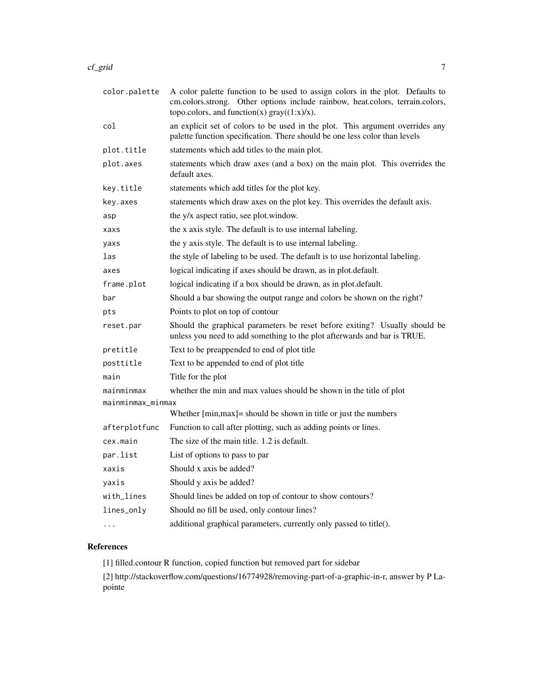| color.palette     | A color palette function to be used to assign colors in the plot. Defaults to<br>cm.colors.strong. Other options include rainbow, heat.colors, terrain.colors,<br>topo.colors, and function(x) $gray((1:x)/x)$ . |
|-------------------|------------------------------------------------------------------------------------------------------------------------------------------------------------------------------------------------------------------|
| col               | an explicit set of colors to be used in the plot. This argument overrides any<br>palette function specification. There should be one less color than levels                                                      |
| plot.title        | statements which add titles to the main plot.                                                                                                                                                                    |
| plot.axes         | statements which draw axes (and a box) on the main plot. This overrides the<br>default axes.                                                                                                                     |
| key.title         | statements which add titles for the plot key.                                                                                                                                                                    |
| key.axes          | statements which draw axes on the plot key. This overrides the default axis.                                                                                                                                     |
| asp               | the y/x aspect ratio, see plot.window.                                                                                                                                                                           |
| xaxs              | the x axis style. The default is to use internal labeling.                                                                                                                                                       |
| yaxs              | the y axis style. The default is to use internal labeling.                                                                                                                                                       |
| las               | the style of labeling to be used. The default is to use horizontal labeling.                                                                                                                                     |
| axes              | logical indicating if axes should be drawn, as in plot.default.                                                                                                                                                  |
| frame.plot        | logical indicating if a box should be drawn, as in plot.default.                                                                                                                                                 |
| bar               | Should a bar showing the output range and colors be shown on the right?                                                                                                                                          |
| pts               | Points to plot on top of contour                                                                                                                                                                                 |
| reset.par         | Should the graphical parameters be reset before exiting? Usually should be<br>unless you need to add something to the plot afterwards and bar is TRUE.                                                           |
| pretitle          | Text to be preappended to end of plot title                                                                                                                                                                      |
| posttitle         | Text to be appended to end of plot title                                                                                                                                                                         |
| main              | Title for the plot                                                                                                                                                                                               |
| mainminmax        | whether the min and max values should be shown in the title of plot                                                                                                                                              |
| mainminmax_minmax |                                                                                                                                                                                                                  |
|                   | Whether [min, max] = should be shown in title or just the numbers                                                                                                                                                |
| afterplotfunc     | Function to call after plotting, such as adding points or lines.                                                                                                                                                 |
| cex.main          | The size of the main title. 1.2 is default.                                                                                                                                                                      |
| par.list          | List of options to pass to par                                                                                                                                                                                   |
| xaxis             | Should x axis be added?                                                                                                                                                                                          |
| yaxis             | Should y axis be added?                                                                                                                                                                                          |
| with_lines        | Should lines be added on top of contour to show contours?                                                                                                                                                        |
| lines_only        | Should no fill be used, only contour lines?                                                                                                                                                                      |
| $\cdots$          | additional graphical parameters, currently only passed to title().                                                                                                                                               |

# References

[1] filled.contour R function, copied function but removed part for sidebar

[2] http://stackoverflow.com/questions/16774928/removing-part-of-a-graphic-in-r, answer by P Lapointe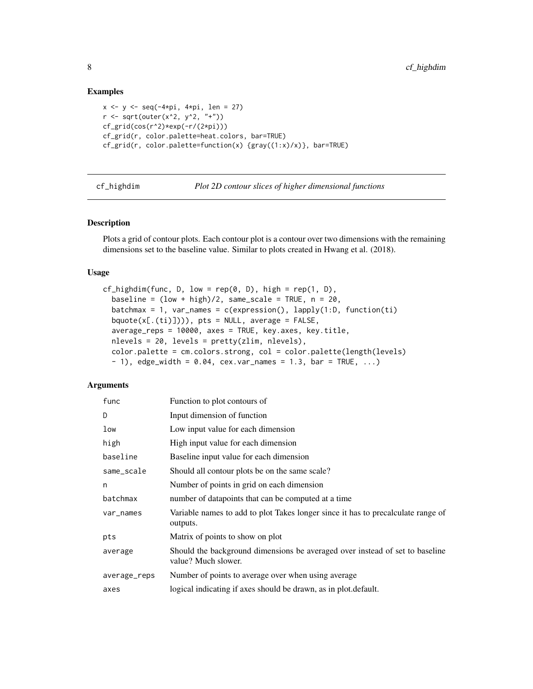```
x \le -y \le -\text{seq}(-4*pi, 4*pi, len = 27)r \leq -sqrt{2} sqrt(outer(x^2, y^2, "+"))
cf_grid(cos(r^2)*exp(-r/(2*pi)))
cf_grid(r, color.palette=heat.colors, bar=TRUE)
cf_grid(r, color.palette=function(x) {gray((1:x)/x)}, bar=TRUE)
```
cf\_highdim *Plot 2D contour slices of higher dimensional functions*

#### Description

Plots a grid of contour plots. Each contour plot is a contour over two dimensions with the remaining dimensions set to the baseline value. Similar to plots created in Hwang et al. (2018).

#### Usage

```
cf\_highdim(func, D, low = rep(0, D), high = rep(1, D),baseline = (low + high)/2, same_scale = TRUE, n = 20,
  batchmax = 1, var_names = c(expression(), \text{lapoly}(1:D, \text{ function}(ti))bquote(x[.(ti)]))), pts = NULL, average = FALSE,
  average_reps = 10000, axes = TRUE, key.axes, key.title,
  nlevels = 20, levels = pretty(zlim, nlevels),
  color.palette = cm.colors.strong, col = color.palette(length(levels)
  - 1), edge_width = 0.04, cex.var_names = 1.3, bar = TRUE, ...)
```

| func         | Function to plot contours of                                                                        |
|--------------|-----------------------------------------------------------------------------------------------------|
| D            | Input dimension of function                                                                         |
| low          | Low input value for each dimension                                                                  |
| high         | High input value for each dimension                                                                 |
| baseline     | Baseline input value for each dimension                                                             |
| same_scale   | Should all contour plots be on the same scale?                                                      |
| n            | Number of points in grid on each dimension                                                          |
| batchmax     | number of datapoints that can be computed at a time                                                 |
| var_names    | Variable names to add to plot Takes longer since it has to precalculate range of<br>outputs.        |
| pts          | Matrix of points to show on plot                                                                    |
| average      | Should the background dimensions be averaged over instead of set to baseline<br>value? Much slower. |
| average_reps | Number of points to average over when using average                                                 |
| axes         | logical indicating if axes should be drawn, as in plot default.                                     |

<span id="page-7-0"></span>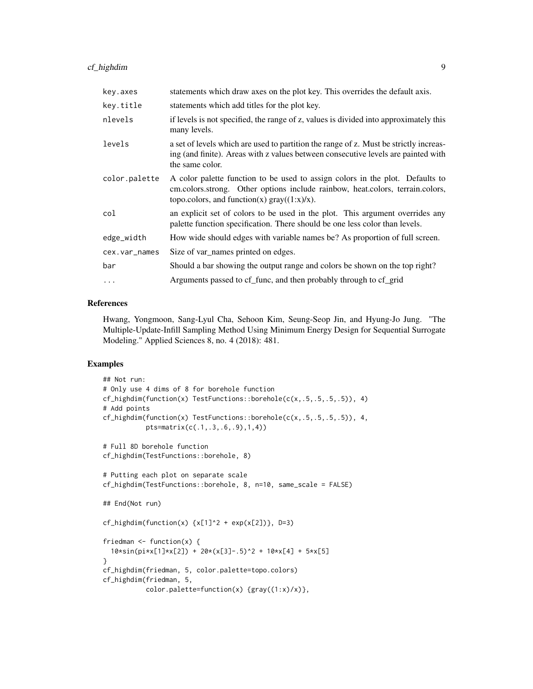| key.axes      | statements which draw axes on the plot key. This overrides the default axis.                                                                                                                                            |
|---------------|-------------------------------------------------------------------------------------------------------------------------------------------------------------------------------------------------------------------------|
| key.title     | statements which add titles for the plot key.                                                                                                                                                                           |
| nlevels       | if levels is not specified, the range of z, values is divided into approximately this<br>many levels.                                                                                                                   |
| levels        | a set of levels which are used to partition the range of z. Must be strictly increas-<br>ing (and finite). Areas with z values between consecutive levels are painted with<br>the same color.                           |
| color.palette | A color palette function to be used to assign colors in the plot. Defaults to<br>cm.colors.strong. Other options include rainbow, heat.colors, terrain.colors,<br>topo.colors, and function(x) $\text{gray}((1:x)/x)$ . |
| col           | an explicit set of colors to be used in the plot. This argument overrides any<br>palette function specification. There should be one less color than levels.                                                            |
| edge_width    | How wide should edges with variable names be? As proportion of full screen.                                                                                                                                             |
| cex.var_names | Size of var_names printed on edges.                                                                                                                                                                                     |
| bar           | Should a bar showing the output range and colors be shown on the top right?                                                                                                                                             |
| .             | Arguments passed to cf_func, and then probably through to cf_grid                                                                                                                                                       |

#### References

Hwang, Yongmoon, Sang-Lyul Cha, Sehoon Kim, Seung-Seop Jin, and Hyung-Jo Jung. "The Multiple-Update-Infill Sampling Method Using Minimum Energy Design for Sequential Surrogate Modeling." Applied Sciences 8, no. 4 (2018): 481.

```
## Not run:
# Only use 4 dims of 8 for borehole function
cf_highdim(function(x) TestFunctions::borehole(c(x,.5,.5,.5,.5)), 4)
# Add points
cf_highdim(function(x) TestFunctions::borehole(c(x,.5,.5,.5,.5)), 4,
           pts=matrix(c(.1,.3,.6,.9),1,4))
# Full 8D borehole function
cf_highdim(TestFunctions::borehole, 8)
# Putting each plot on separate scale
cf_highdim(TestFunctions::borehole, 8, n=10, same_scale = FALSE)
## End(Not run)
cf_highdim(function(x) \{x[1]^2 + \exp(x[2])\}, D=3)
friedman \leq function(x) {
  10*sin(pixx[1]*x[2]) + 20*(x[3] - .5)^2 + 10*x[4] + 5*x[5]}
cf_highdim(friedman, 5, color.palette=topo.colors)
cf_highdim(friedman, 5,
           color.palette=function(x) \{gray((1:x)/x)\},
```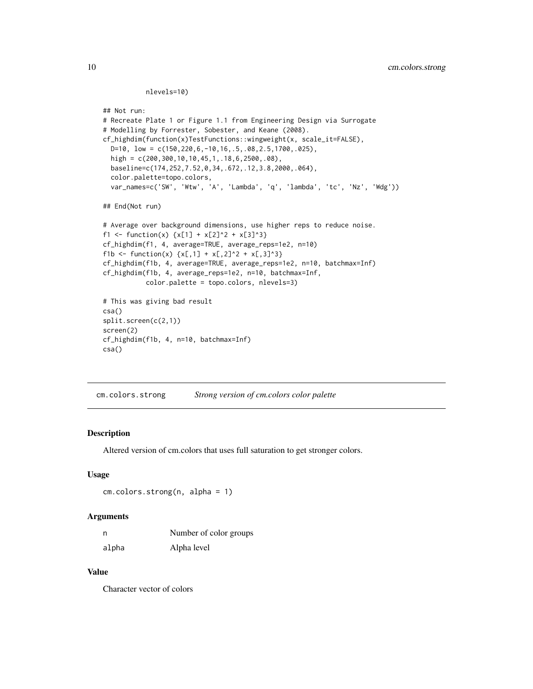#### nlevels=10)

```
## Not run:
# Recreate Plate 1 or Figure 1.1 from Engineering Design via Surrogate
# Modelling by Forrester, Sobester, and Keane (2008).
cf_highdim(function(x)TestFunctions::wingweight(x, scale_it=FALSE),
  D=10, low = c(150,220,6,-10,16,.5,.08,2.5,1700,.025),
  high = c(200,300,10,10,45,1,.18,6,2500,.08),
  baseline=c(174,252,7.52,0,34,.672,.12,3.8,2000,.064),
  color.palette=topo.colors,
  var_names=c('SW', 'Wtw', 'A', 'Lambda', 'q', 'lambda', 'tc', 'Nz', 'Wdg'))
## End(Not run)
# Average over background dimensions, use higher reps to reduce noise.
f1 <- function(x) \{x[1] + x[2]^2 + x[3]^3\}cf_highdim(f1, 4, average=TRUE, average_reps=1e2, n=10)
f1b <- function(x) {x[,1] + x[,2]^2 + x[,3]^3}
cf_highdim(f1b, 4, average=TRUE, average_reps=1e2, n=10, batchmax=Inf)
cf_highdim(f1b, 4, average_reps=1e2, n=10, batchmax=Inf,
           color.palette = topo.colors, nlevels=3)
# This was giving bad result
csa()
split.screen(c(2,1))
screen(2)
cf_highdim(f1b, 4, n=10, batchmax=Inf)
csa()
```
cm.colors.strong *Strong version of cm.colors color palette*

#### **Description**

Altered version of cm.colors that uses full saturation to get stronger colors.

#### Usage

cm.colors.strong(n, alpha = 1)

#### Arguments

| n     | Number of color groups |
|-------|------------------------|
| alpha | Alpha level            |

#### Value

Character vector of colors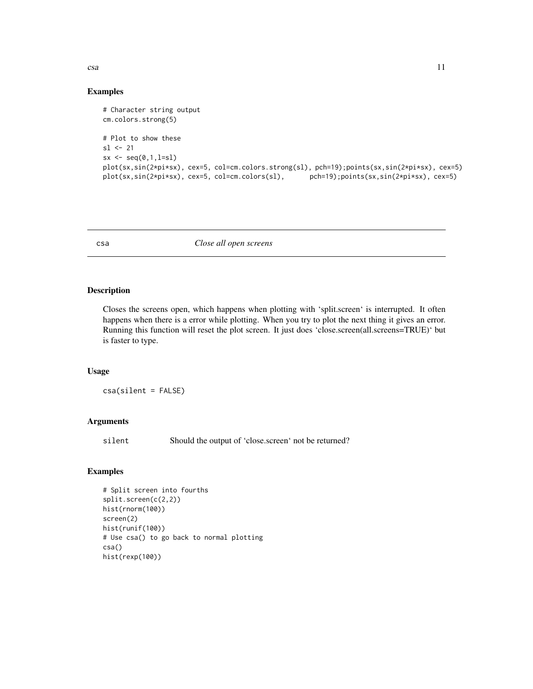<span id="page-10-0"></span> $csa$  11

#### Examples

```
# Character string output
cm.colors.strong(5)
# Plot to show these
sl < -21sx \leftarrow seq(0,1,1=s1)plot(sx,sin(2*pi*sx), cex=5, col=cm.colors.strong(sl), pch=19);points(sx,sin(2*pi*sx), cex=5)
plot(sx,sin(2*pi*sx), cex=5, col=cm.colors(sl), pch=19);points(sx,sin(2*pi*sx), cex=5)
```
csa *Close all open screens*

#### Description

Closes the screens open, which happens when plotting with 'split.screen' is interrupted. It often happens when there is a error while plotting. When you try to plot the next thing it gives an error. Running this function will reset the plot screen. It just does 'close.screen(all.screens=TRUE)' but is faster to type.

#### Usage

csa(silent = FALSE)

# Arguments

silent Should the output of 'close.screen' not be returned?

```
# Split screen into fourths
split.screen(c(2,2))
hist(rnorm(100))
screen(2)
hist(runif(100))
# Use csa() to go back to normal plotting
csa()
hist(rexp(100))
```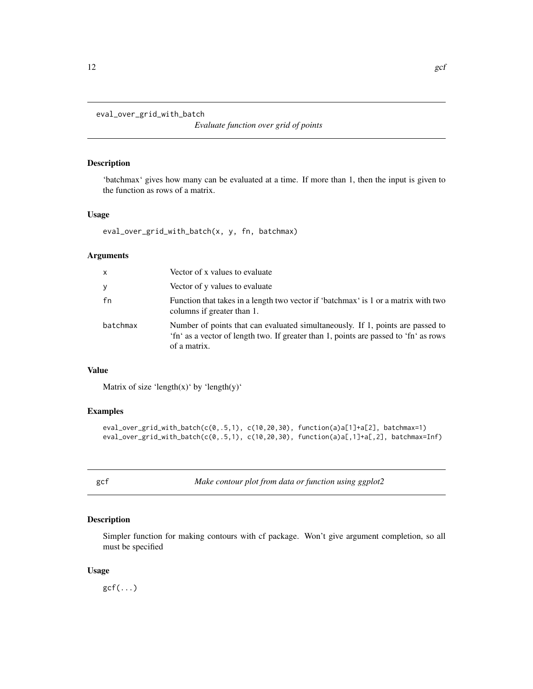<span id="page-11-0"></span>eval\_over\_grid\_with\_batch

*Evaluate function over grid of points*

#### Description

'batchmax' gives how many can be evaluated at a time. If more than 1, then the input is given to the function as rows of a matrix.

#### Usage

```
eval_over_grid_with_batch(x, y, fn, batchmax)
```
#### Arguments

| x        | Vector of x values to evaluate                                                                                                                                                         |
|----------|----------------------------------------------------------------------------------------------------------------------------------------------------------------------------------------|
| У        | Vector of y values to evaluate                                                                                                                                                         |
| fn       | Function that takes in a length two vector if 'batchmax' is 1 or a matrix with two<br>columns if greater than 1.                                                                       |
| batchmax | Number of points that can evaluated simultaneously. If 1, points are passed to<br>'fn' as a vector of length two. If greater than 1, points are passed to 'fn' as rows<br>of a matrix. |

### Value

Matrix of size 'length(x)' by 'length(y)'

# Examples

```
eval_over_grid_with_batch(c(0,.5,1), c(10,20,30), function(a)a[1]+a[2], batchmax=1)
eval_over_grid_with_batch(c(0,.5,1), c(10,20,30), function(a)a[,1]+a[,2], batchmax=Inf)
```
gcf *Make contour plot from data or function using ggplot2*

### Description

Simpler function for making contours with cf package. Won't give argument completion, so all must be specified

#### Usage

 $gcf(...)$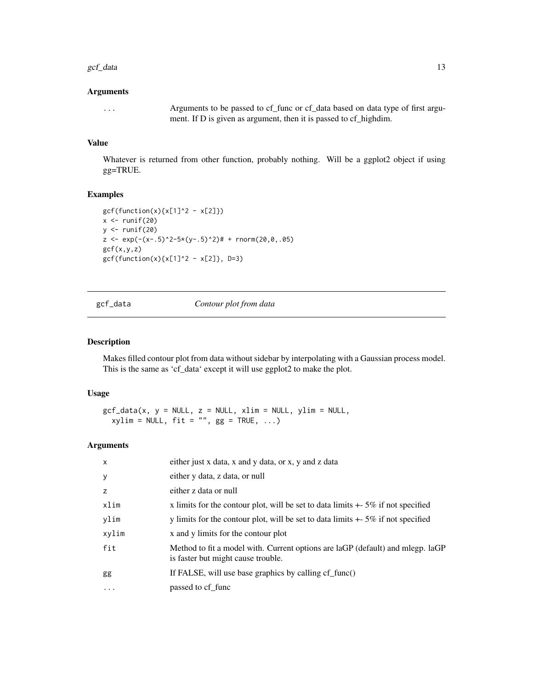#### <span id="page-12-0"></span> $\gcd$  data 13

#### Arguments

... Arguments to be passed to cf\_func or cf\_data based on data type of first argument. If D is given as argument, then it is passed to cf\_highdim.

# Value

Whatever is returned from other function, probably nothing. Will be a ggplot2 object if using gg=TRUE.

#### Examples

```
gcf(function(x){x[1]^2 - x[2]})x \leftarrow runif(20)y \leftarrow runif(20)z \leq \exp(-(x-.5)^2-5*(y-.5)^2)# + rnorm(20,0,.05)
gcf(x,y,z)
gcf(function(x){x[1]^2 - x[2]}, D=3)
```
gcf\_data *Contour plot from data*

#### Description

Makes filled contour plot from data without sidebar by interpolating with a Gaussian process model. This is the same as 'cf\_data' except it will use ggplot2 to make the plot.

#### Usage

 $gcf\_data(x, y = NULL, z = NULL, xlim = NULL, ylim = NULL,$  $xylim = NULL, fit = "", gg = TRUE, ...)$ 

| $\times$  | either just x data, x and y data, or x, y and z data                                                                 |
|-----------|----------------------------------------------------------------------------------------------------------------------|
| У         | either y data, z data, or null                                                                                       |
| z         | either z data or null                                                                                                |
| xlim      | x limits for the contour plot, will be set to data limits $+5\%$ if not specified                                    |
| ylim      | y limits for the contour plot, will be set to data limits $+$ 5% if not specified                                    |
| xylim     | x and y limits for the contour plot                                                                                  |
| fit       | Method to fit a model with. Current options are laGP (default) and mlegp. laGP<br>is faster but might cause trouble. |
| gg        | If FALSE, will use base graphics by calling $cf\_func()$                                                             |
| $\ddotsc$ | passed to cf func                                                                                                    |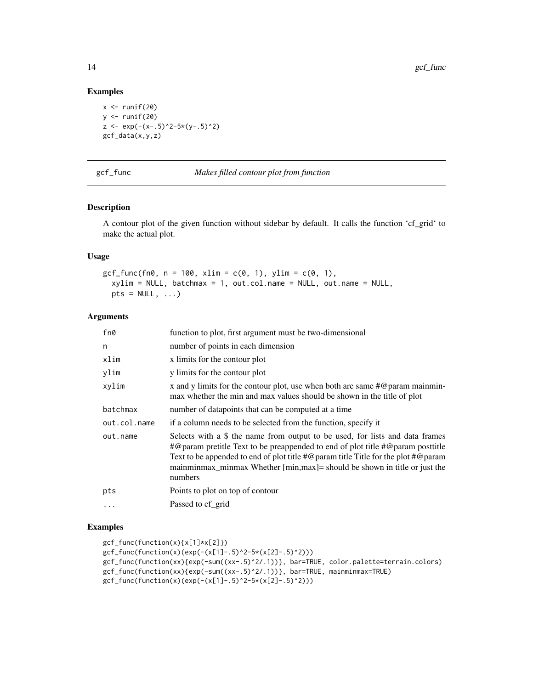```
x \leftarrow runif(20)y \leftarrow runif(20)z \leq \exp(-(x-.5)^2-5*(y-.5)^2)gcf_data(x,y,z)
```
gcf\_func *Makes filled contour plot from function*

#### Description

A contour plot of the given function without sidebar by default. It calls the function 'cf\_grid' to make the actual plot.

#### Usage

gcf\_func(fn0, n = 100, xlim = c(0, 1), ylim = c(0, 1), xylim = NULL, batchmax = 1, out.col.name = NULL, out.name = NULL,  $pts = NULL, ...)$ 

#### Arguments

| fn0          | function to plot, first argument must be two-dimensional                                                                                                                                                                                                                                                                                                                          |
|--------------|-----------------------------------------------------------------------------------------------------------------------------------------------------------------------------------------------------------------------------------------------------------------------------------------------------------------------------------------------------------------------------------|
| n            | number of points in each dimension                                                                                                                                                                                                                                                                                                                                                |
| xlim         | x limits for the contour plot                                                                                                                                                                                                                                                                                                                                                     |
| ylim         | y limits for the contour plot                                                                                                                                                                                                                                                                                                                                                     |
| xylim        | x and y limits for the contour plot, use when both are same $\#\mathcal{Q}$ param mainmin-<br>max whether the min and max values should be shown in the title of plot                                                                                                                                                                                                             |
| batchmax     | number of datapoints that can be computed at a time                                                                                                                                                                                                                                                                                                                               |
| out.col.name | if a column needs to be selected from the function, specify it                                                                                                                                                                                                                                                                                                                    |
| out.name     | Selects with a \$ the name from output to be used, for lists and data frames<br>$\#$ @param pretitle Text to be preappended to end of plot title $\#$ @param posttitle<br>Text to be appended to end of plot title $\#\mathcal{Q}$ param title Title for the plot $\#\mathcal{Q}$ param<br>mainminmax_minmax Whether [min, max] = should be shown in title or just the<br>numbers |
| pts          | Points to plot on top of contour                                                                                                                                                                                                                                                                                                                                                  |
| $\ddotsc$    | Passed to cf_grid                                                                                                                                                                                                                                                                                                                                                                 |

```
gcf_func(function(x){x[1]*x[2]})
gcf_func(function(x)(exp(-(x[1]-.5)^2-5*(x[2]-.5)^2)))
gcf_func(function(xx){exp(-sum((xx-.5)^2/.1))}, bar=TRUE, color.palette=terrain.colors)
gcf_func(function(xx){exp(-sum((xx-.5)^2/.1))}, bar=TRUE, mainminmax=TRUE)
gcf_func(function(x)(exp(-(x[1]-.5)^2-5*(x[2]-.5)^2))
```
<span id="page-13-0"></span>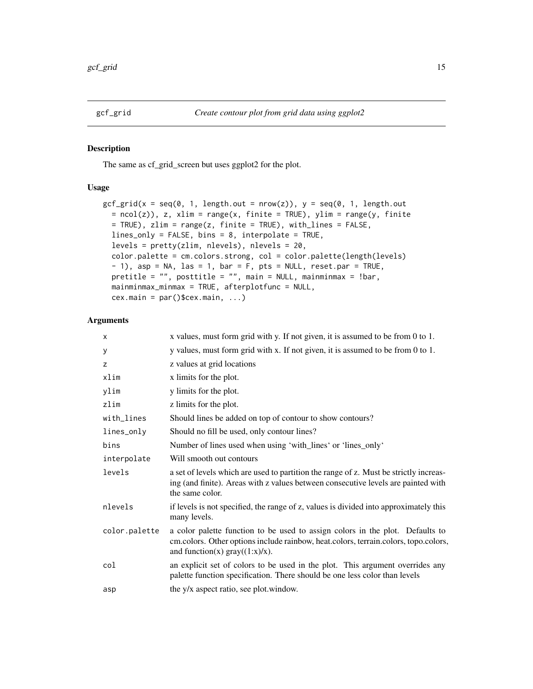<span id="page-14-0"></span>

### Description

The same as cf\_grid\_screen but uses ggplot2 for the plot.

#### Usage

```
gcf_grid(x = seq(0, 1, length.out = nrow(z)), y = seq(0, 1, length.out= ncol(z)), z, xlim = range(x, finite = TRUE), ylim = range(y, finite
 = TRUE), zlim = range(z, finite = TRUE), with_lines = FALSE,
 lines_only = FALSE, bins = 8, interpolate = TRUE,
  levels = pretty(zlim, nlevels), nlevels = 20,
  color.palette = cm.colors.strong, col = color.palette(length(levels)
  - 1), asp = NA, las = 1, bar = F, pts = NULL, reset.par = TRUE,
 pretitle = "", posttitle = "", main = NULL, mainminmax = !bar,
 mainminmax_minmax = TRUE, afterplotfunc = NULL,
  cex.mainloop = par()$cex.main, ...)
```

| X             | x values, must form grid with y. If not given, it is assumed to be from 0 to 1.                                                                                                                           |
|---------------|-----------------------------------------------------------------------------------------------------------------------------------------------------------------------------------------------------------|
| у             | y values, must form grid with x. If not given, it is assumed to be from 0 to 1.                                                                                                                           |
| z             | z values at grid locations                                                                                                                                                                                |
| xlim          | x limits for the plot.                                                                                                                                                                                    |
| ylim          | y limits for the plot.                                                                                                                                                                                    |
| zlim          | z limits for the plot.                                                                                                                                                                                    |
| with_lines    | Should lines be added on top of contour to show contours?                                                                                                                                                 |
| lines_only    | Should no fill be used, only contour lines?                                                                                                                                                               |
| bins          | Number of lines used when using 'with_lines' or 'lines_only'                                                                                                                                              |
| interpolate   | Will smooth out contours                                                                                                                                                                                  |
| levels        | a set of levels which are used to partition the range of z. Must be strictly increas-<br>ing (and finite). Areas with z values between consecutive levels are painted with<br>the same color.             |
| nlevels       | if levels is not specified, the range of z, values is divided into approximately this<br>many levels.                                                                                                     |
| color.palette | a color palette function to be used to assign colors in the plot. Defaults to<br>cm.colors. Other options include rainbow, heat.colors, terrain.colors, topo.colors,<br>and function(x) $gray((1:x)/x)$ . |
| col           | an explicit set of colors to be used in the plot. This argument overrides any<br>palette function specification. There should be one less color than levels                                               |
| asp           | the y/x aspect ratio, see plot.window.                                                                                                                                                                    |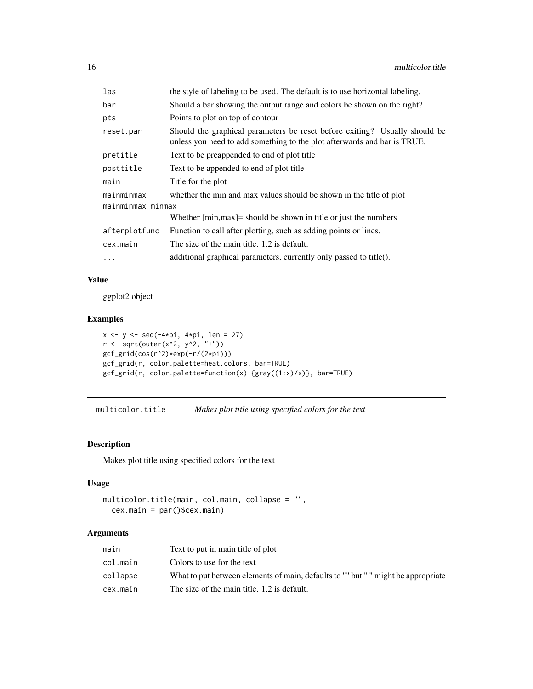<span id="page-15-0"></span>

| the style of labeling to be used. The default is to use horizontal labeling.                                                                           |  |  |
|--------------------------------------------------------------------------------------------------------------------------------------------------------|--|--|
| Should a bar showing the output range and colors be shown on the right?                                                                                |  |  |
| Points to plot on top of contour                                                                                                                       |  |  |
| Should the graphical parameters be reset before exiting? Usually should be<br>unless you need to add something to the plot afterwards and bar is TRUE. |  |  |
| Text to be preappended to end of plot title                                                                                                            |  |  |
| Text to be appended to end of plot title.                                                                                                              |  |  |
| Title for the plot                                                                                                                                     |  |  |
| whether the min and max values should be shown in the title of plot                                                                                    |  |  |
| mainminmax_minmax                                                                                                                                      |  |  |
| Whether $[\text{min,max}]$ = should be shown in title or just the numbers                                                                              |  |  |
| Function to call after plotting, such as adding points or lines.                                                                                       |  |  |
| The size of the main title. 1.2 is default.                                                                                                            |  |  |
| additional graphical parameters, currently only passed to title().                                                                                     |  |  |
|                                                                                                                                                        |  |  |

# Value

ggplot2 object

# Examples

```
x <- y <- seq(-4*pi, 4*pi, len = 27)
r <- sqrt(outer(x^2, y^2, "+"))
gcf_grid(cos(r^2)*exp(-r/(2*pi)))
gcf_grid(r, color.palette=heat.colors, bar=TRUE)
gcf_grid(r, color.palette=function(x) {gray((1:x)/x)}, bar=TRUE)
```
multicolor.title *Makes plot title using specified colors for the text*

# Description

Makes plot title using specified colors for the text

# Usage

```
multicolor.title(main, col.main, collapse = "",
  cex.main = par()$cex.main)
```

| main     | Text to put in main title of plot                                                 |
|----------|-----------------------------------------------------------------------------------|
| col.main | Colors to use for the text                                                        |
| collapse | What to put between elements of main, defaults to "" but " " might be appropriate |
| cex.main | The size of the main title. 1.2 is default.                                       |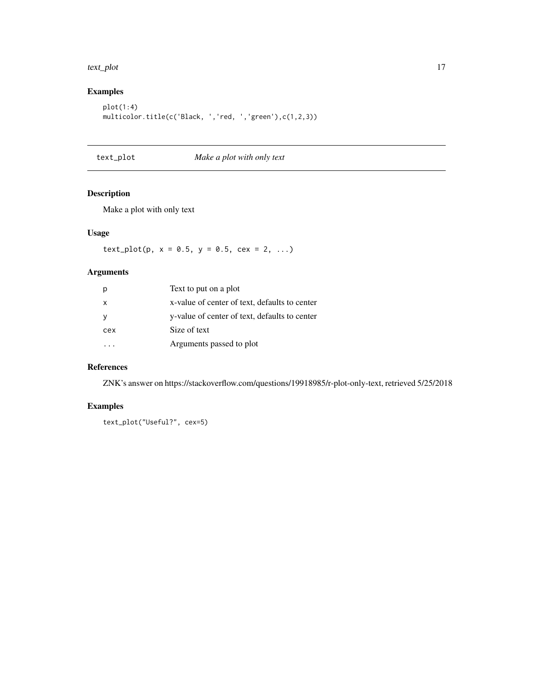#### <span id="page-16-0"></span>text\_plot 17

# Examples

```
plot(1:4)
multicolor.title(c('Black, ','red, ','green'),c(1,2,3))
```
text\_plot *Make a plot with only text*

# Description

Make a plot with only text

# Usage

 $text\_plot(p, x = 0.5, y = 0.5, cex = 2, ...)$ 

# Arguments

| p   | Text to put on a plot                         |
|-----|-----------------------------------------------|
| X   | x-value of center of text, defaults to center |
| У   | y-value of center of text, defaults to center |
| cex | Size of text                                  |
|     | Arguments passed to plot                      |

#### References

ZNK's answer on https://stackoverflow.com/questions/19918985/r-plot-only-text, retrieved 5/25/2018

# Examples

text\_plot("Useful?", cex=5)